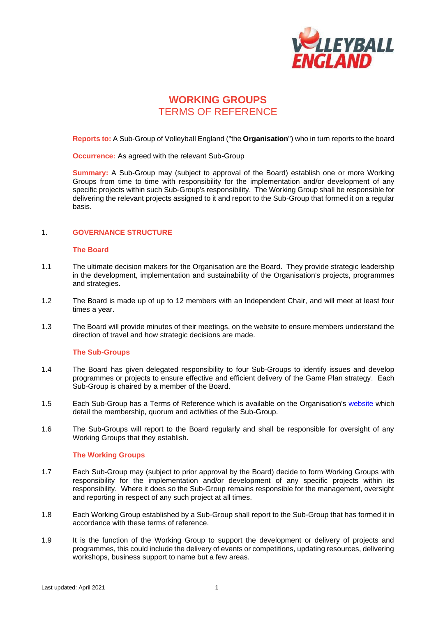

# **WORKING GROUPS** TERMS OF REFERENCE

**Reports to:** A Sub-Group of Volleyball England ("the **Organisation**") who in turn reports to the board

**Occurrence:** As agreed with the relevant Sub-Group

**Summary:** A Sub-Group may (subject to approval of the Board) establish one or more Working Groups from time to time with responsibility for the implementation and/or development of any specific projects within such Sub-Group's responsibility. The Working Group shall be responsible for delivering the relevant projects assigned to it and report to the Sub-Group that formed it on a regular basis.

### 1. **GOVERNANCE STRUCTURE**

#### **The Board**

- 1.1 The ultimate decision makers for the Organisation are the Board. They provide strategic leadership in the development, implementation and sustainability of the Organisation's projects, programmes and strategies.
- 1.2 The Board is made up of up to 12 members with an Independent Chair, and will meet at least four times a year.
- 1.3 The Board will provide minutes of their meetings, on the website to ensure members understand the direction of travel and how strategic decisions are made.

### **The Sub-Groups**

- 1.4 The Board has given delegated responsibility to four Sub-Groups to identify issues and develop programmes or projects to ensure effective and efficient delivery of the Game Plan strategy. Each Sub-Group is chaired by a member of the Board.
- 1.5 Each Sub-Group has a Terms of Reference which is available on the Organisation's [website](http://www.volleyballengland.org/about_us/about_us_/governance) which detail the membership, quorum and activities of the Sub-Group.
- 1.6 The Sub-Groups will report to the Board regularly and shall be responsible for oversight of any Working Groups that they establish.

### **The Working Groups**

- 1.7 Each Sub-Group may (subject to prior approval by the Board) decide to form Working Groups with responsibility for the implementation and/or development of any specific projects within its responsibility. Where it does so the Sub-Group remains responsible for the management, oversight and reporting in respect of any such project at all times.
- 1.8 Each Working Group established by a Sub-Group shall report to the Sub-Group that has formed it in accordance with these terms of reference.
- 1.9 It is the function of the Working Group to support the development or delivery of projects and programmes, this could include the delivery of events or competitions, updating resources, delivering workshops, business support to name but a few areas.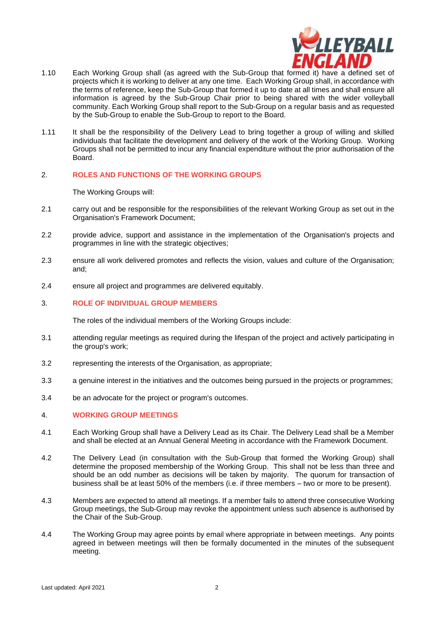

- 1.10 Each Working Group shall (as agreed with the Sub-Group that formed it) have a defined set of projects which it is working to deliver at any one time. Each Working Group shall, in accordance with the terms of reference, keep the Sub-Group that formed it up to date at all times and shall ensure all information is agreed by the Sub-Group Chair prior to being shared with the wider volleyball community. Each Working Group shall report to the Sub-Group on a regular basis and as requested by the Sub-Group to enable the Sub-Group to report to the Board.
- 1.11 It shall be the responsibility of the Delivery Lead to bring together a group of willing and skilled individuals that facilitate the development and delivery of the work of the Working Group. Working Groups shall not be permitted to incur any financial expenditure without the prior authorisation of the Board.

### 2. **ROLES AND FUNCTIONS OF THE WORKING GROUPS**

The Working Groups will:

- 2.1 carry out and be responsible for the responsibilities of the relevant Working Group as set out in the Organisation's Framework Document;
- 2.2 provide advice, support and assistance in the implementation of the Organisation's projects and programmes in line with the strategic objectives;
- 2.3 ensure all work delivered promotes and reflects the vision, values and culture of the Organisation; and;
- 2.4 ensure all project and programmes are delivered equitably.

# 3. **ROLE OF INDIVIDUAL GROUP MEMBERS**

The roles of the individual members of the Working Groups include:

- 3.1 attending regular meetings as required during the lifespan of the project and actively participating in the group's work;
- 3.2 representing the interests of the Organisation, as appropriate;
- 3.3 a genuine interest in the initiatives and the outcomes being pursued in the projects or programmes;
- 3.4 be an advocate for the project or program's outcomes.

# 4. **WORKING GROUP MEETINGS**

- 4.1 Each Working Group shall have a Delivery Lead as its Chair. The Delivery Lead shall be a Member and shall be elected at an Annual General Meeting in accordance with the Framework Document.
- 4.2 The Delivery Lead (in consultation with the Sub-Group that formed the Working Group) shall determine the proposed membership of the Working Group. This shall not be less than three and should be an odd number as decisions will be taken by majority. The quorum for transaction of business shall be at least 50% of the members (i.e. if three members – two or more to be present).
- 4.3 Members are expected to attend all meetings. If a member fails to attend three consecutive Working Group meetings, the Sub-Group may revoke the appointment unless such absence is authorised by the Chair of the Sub-Group.
- 4.4 The Working Group may agree points by email where appropriate in between meetings. Any points agreed in between meetings will then be formally documented in the minutes of the subsequent meeting.